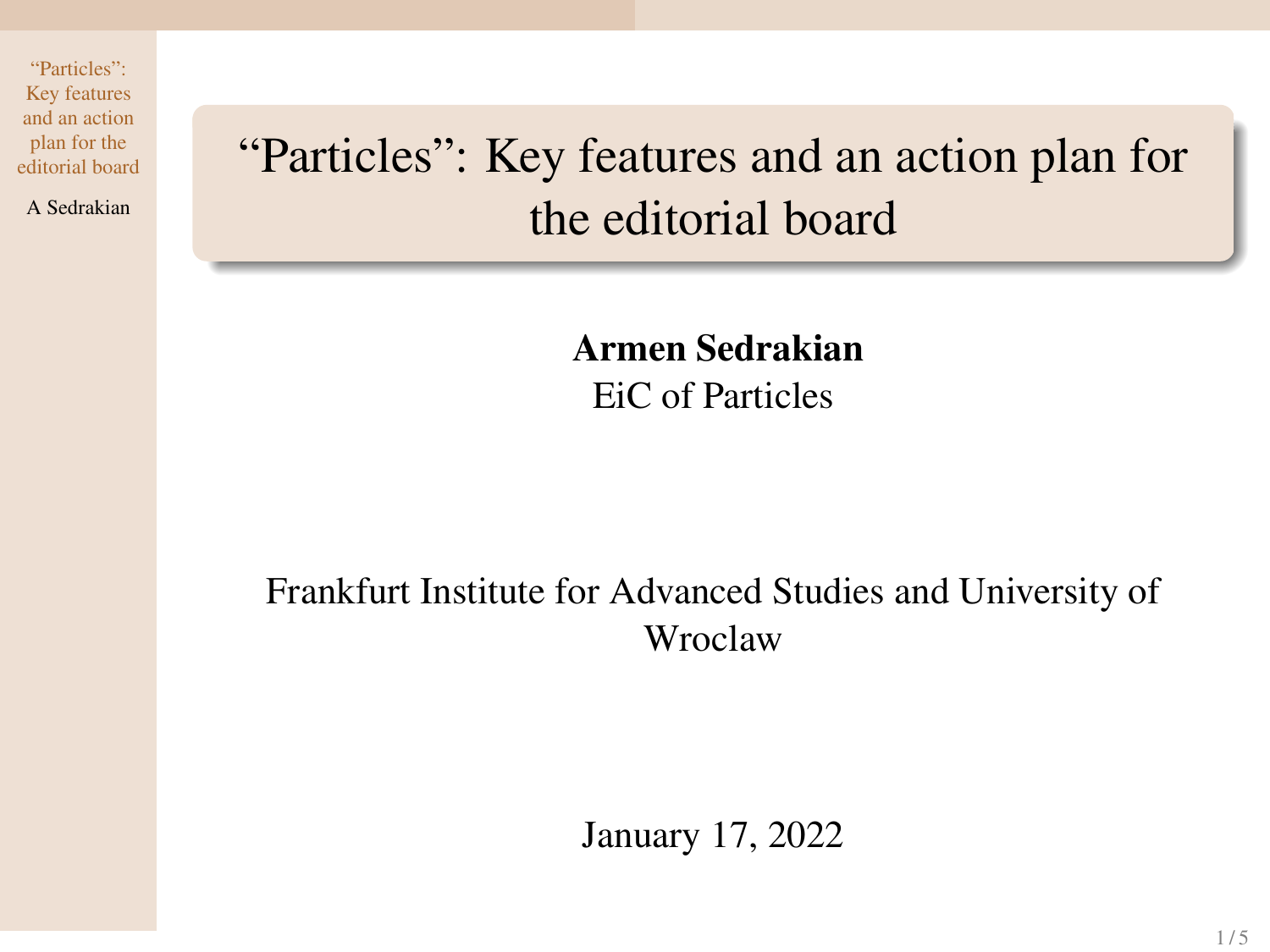A Sedrakian

# <span id="page-0-0"></span>"Particles": Key features and an action plan for the editorial board

Armen Sedrakian EiC of Particles

## Frankfurt Institute for Advanced Studies and University of Wroclaw

January 17, 2022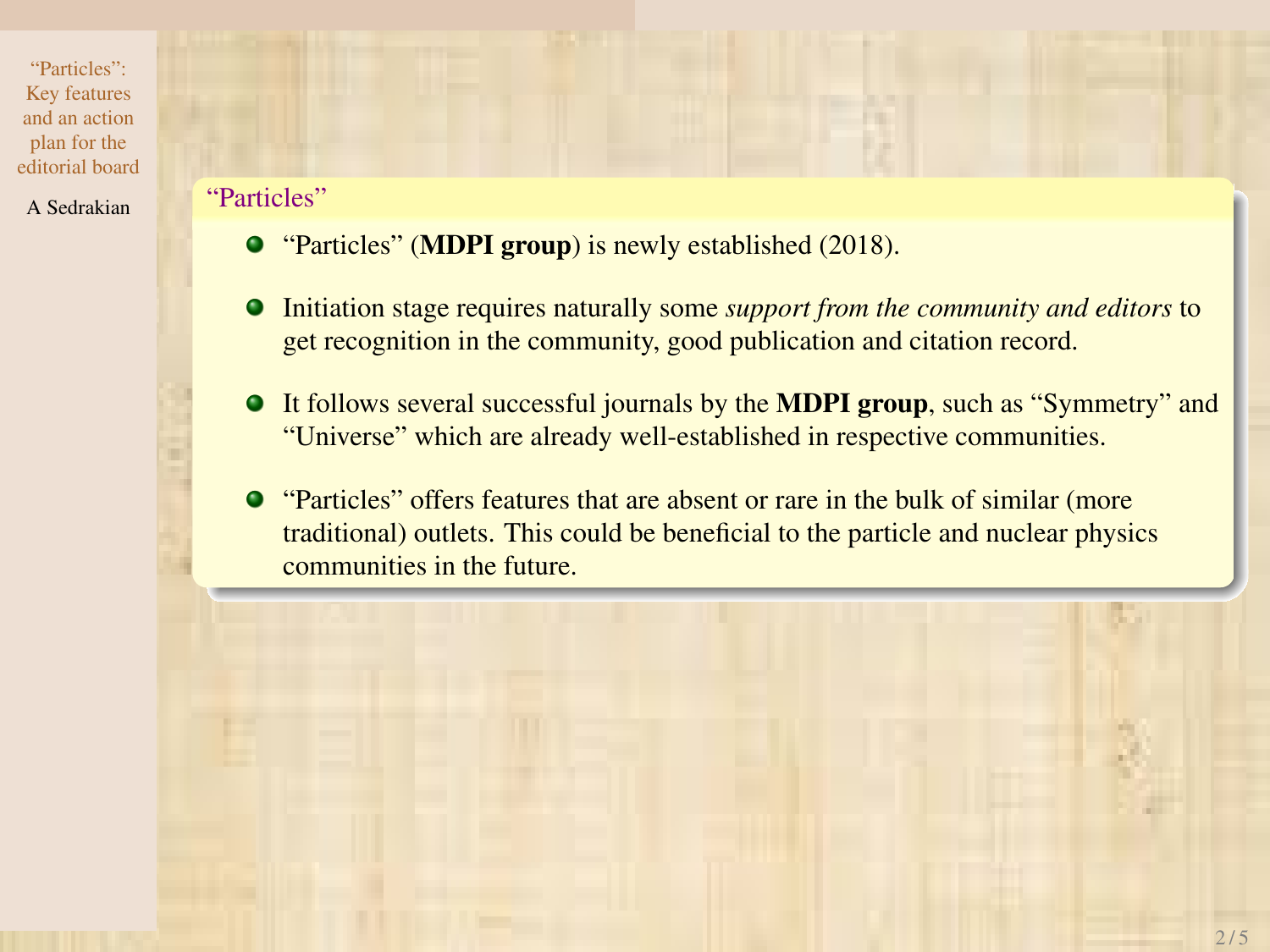- A Sedrakian "Particles"
	- "Particles" (MDPI group) is newly established (2018).
	- Initiation stage requires naturally some *support from the community and editors* to get recognition in the community, good publication and citation record.
	- It follows several successful journals by the MDPI group, such as "Symmetry" and "Universe" which are already well-established in respective communities.
	- "Particles" offers features that are absent or rare in the bulk of similar (more traditional) outlets. This could be beneficial to the particle and nuclear physics communities in the future.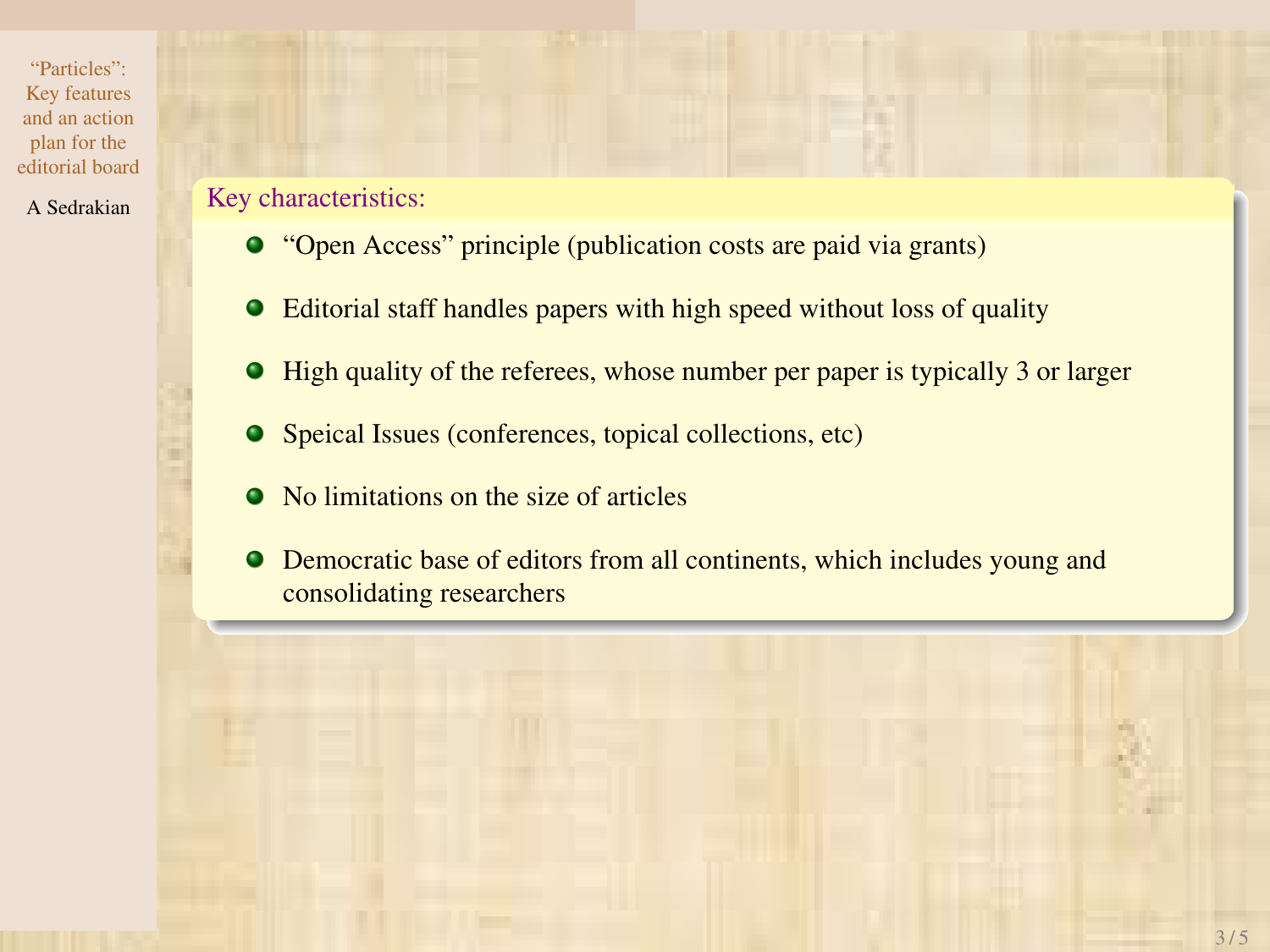### A Sedrakian **Key characteristics:**

- "Open Access" principle (publication costs are paid via grants)
- Editorial staff handles papers with high speed without loss of quality
- High quality of the referees, whose number per paper is typically 3 or larger
- Speical Issues (conferences, topical collections, etc)
- No limitations on the size of articles
- Democratic base of editors from all continents, which includes young and consolidating researchers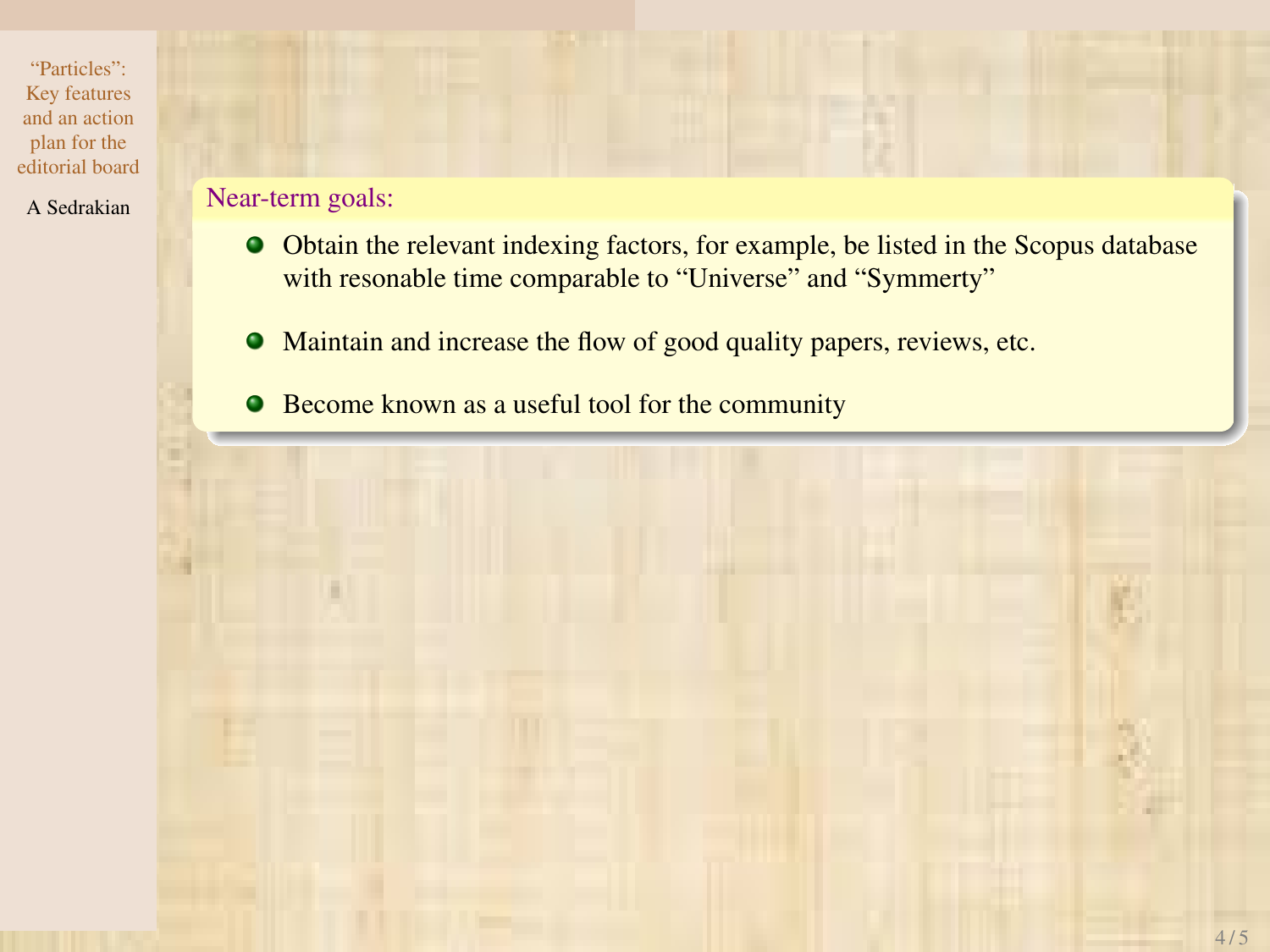### A Sedrakian Near-term goals:

- Obtain the relevant indexing factors, for example, be listed in the Scopus database with resonable time comparable to "Universe" and "Symmerty"
- Maintain and increase the flow of good quality papers, reviews, etc.
- **•** Become known as a useful tool for the community